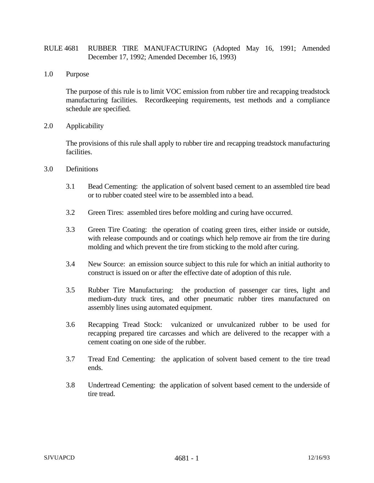## RULE 4681 RUBBER TIRE MANUFACTURING (Adopted May 16, 1991; Amended December 17, 1992; Amended December 16, 1993)

1.0 Purpose

The purpose of this rule is to limit VOC emission from rubber tire and recapping treadstock manufacturing facilities. Recordkeeping requirements, test methods and a compliance schedule are specified.

2.0 Applicability

The provisions of this rule shall apply to rubber tire and recapping treadstock manufacturing facilities.

- 3.0 Definitions
	- 3.1 Bead Cementing: the application of solvent based cement to an assembled tire bead or to rubber coated steel wire to be assembled into a bead.
	- 3.2 Green Tires: assembled tires before molding and curing have occurred.
	- 3.3 Green Tire Coating: the operation of coating green tires, either inside or outside, with release compounds and or coatings which help remove air from the tire during molding and which prevent the tire from sticking to the mold after curing.
	- 3.4 New Source: an emission source subject to this rule for which an initial authority to construct is issued on or after the effective date of adoption of this rule.
	- 3.5 Rubber Tire Manufacturing: the production of passenger car tires, light and medium-duty truck tires, and other pneumatic rubber tires manufactured on assembly lines using automated equipment.
	- 3.6 Recapping Tread Stock: vulcanized or unvulcanized rubber to be used for recapping prepared tire carcasses and which are delivered to the recapper with a cement coating on one side of the rubber.
	- 3.7 Tread End Cementing: the application of solvent based cement to the tire tread ends.
	- 3.8 Undertread Cementing: the application of solvent based cement to the underside of tire tread.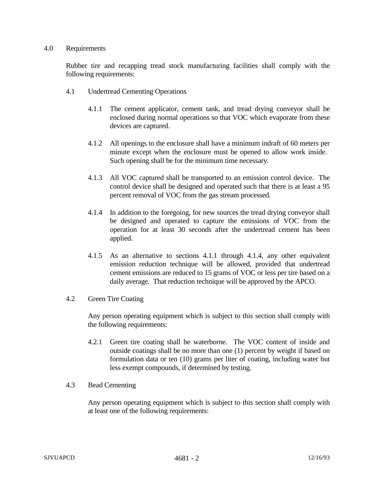## 4.0 Requirements

Rubber tire and recapping tread stock manufacturing facilities shall comply with the following requirements:

- 4.1 Undertread Cementing Operations
	- 4.1.1 The cement applicator, cement tank, and tread drying conveyor shall be enclosed during normal operations so that VOC which evaporate from these devices are captured.
	- 4.1.2 All openings to the enclosure shall have a minimum indraft of 60 meters per minute except when the enclosure must be opened to allow work inside. Such opening shall be for the minimum time necessary.
	- 4.1.3 All VOC captured shall be transported to an emission control device. The control device shall be designed and operated such that there is at least a 95 percent removal of VOC from the gas stream processed.
	- 4.1.4 In addition to the foregoing, for new sources the tread drying conveyor shall be designed and operated to capture the emissions of VOC from the operation for at least 30 seconds after the undertread cement has been applied.
	- 4.1.5 As an alternative to sections 4.1.1 through 4.1.4, any other equivalent emission reduction technique will be allowed, provided that undertread cement emissions are reduced to 15 grams of VOC or less per tire based on a daily average. That reduction technique will be approved by the APCO.

## 4.2 Green Tire Coating

Any person operating equipment which is subject to this section shall comply with the following requirements:

- 4.2.1 Green tire coating shall be waterborne. The VOC content of inside and outside coatings shall be no more than one (1) percent by weight if based on formulation data or ten (10) grams per liter of coating, including water but less exempt compounds, if determined by testing.
- 4.3 Bead Cementing

Any person operating equipment which is subject to this section shall comply with at least one of the following requirements: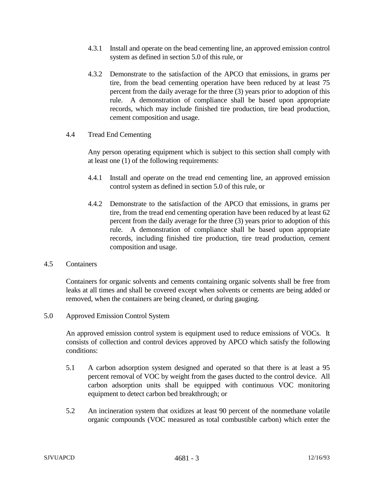- 4.3.1 Install and operate on the bead cementing line, an approved emission control system as defined in section 5.0 of this rule, or
- 4.3.2 Demonstrate to the satisfaction of the APCO that emissions, in grams per tire, from the bead cementing operation have been reduced by at least 75 percent from the daily average for the three (3) years prior to adoption of this rule. A demonstration of compliance shall be based upon appropriate records, which may include finished tire production, tire bead production, cement composition and usage.
- 4.4 Tread End Cementing

Any person operating equipment which is subject to this section shall comply with at least one (1) of the following requirements:

- 4.4.1 Install and operate on the tread end cementing line, an approved emission control system as defined in section 5.0 of this rule, or
- 4.4.2 Demonstrate to the satisfaction of the APCO that emissions, in grams per tire, from the tread end cementing operation have been reduced by at least 62 percent from the daily average for the three (3) years prior to adoption of this rule. A demonstration of compliance shall be based upon appropriate records, including finished tire production, tire tread production, cement composition and usage.

## 4.5 Containers

Containers for organic solvents and cements containing organic solvents shall be free from leaks at all times and shall be covered except when solvents or cements are being added or removed, when the containers are being cleaned, or during gauging.

5.0 Approved Emission Control System

An approved emission control system is equipment used to reduce emissions of VOCs. It consists of collection and control devices approved by APCO which satisfy the following conditions:

- 5.1 A carbon adsorption system designed and operated so that there is at least a 95 percent removal of VOC by weight from the gases ducted to the control device. All carbon adsorption units shall be equipped with continuous VOC monitoring equipment to detect carbon bed breakthrough; or
- 5.2 An incineration system that oxidizes at least 90 percent of the nonmethane volatile organic compounds (VOC measured as total combustible carbon) which enter the